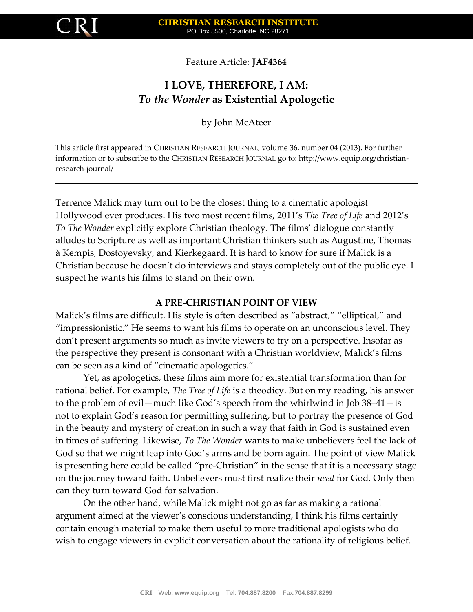

Feature Article: **JAF4364**

# **I LOVE, THEREFORE, I AM:** *To the Wonder* **as Existential Apologetic**

by John McAteer

This article first appeared in CHRISTIAN RESEARCH JOURNAL, volume 36, number 04 (2013). For further information or to subscribe to the CHRISTIAN RESEARCH JOURNAL go to: http://www.equip.org/christianresearch-journal/

Terrence Malick may turn out to be the closest thing to a cinematic apologist Hollywood ever produces. His two most recent films, 2011's *The Tree of Life* and 2012's *To The Wonder* explicitly explore Christian theology. The films' dialogue constantly alludes to Scripture as well as important Christian thinkers such as Augustine, Thomas a Kempis, Dostoyevsky, and Kierkegaard. It is hard to know for sure if Malick is a Christian because he doesn't do interviews and stays completely out of the public eye. I suspect he wants his films to stand on their own.

## **A PRE-CHRISTIAN POINT OF VIEW**

Malick's films are difficult. His style is often described as "abstract," "elliptical," and "impressionistic." He seems to want his films to operate on an unconscious level. They don't present arguments so much as invite viewers to try on a perspective. Insofar as the perspective they present is consonant with a Christian worldview, Malick's films can be seen as a kind of "cinematic apologetics."

Yet, as apologetics, these films aim more for existential transformation than for rational belief. For example, *The Tree of Life* is a theodicy. But on my reading, his answer to the problem of evil—much like God's speech from the whirlwind in Job  $38-41$ —is not to explain God's reason for permitting suffering, but to portray the presence of God in the beauty and mystery of creation in such a way that faith in God is sustained even in times of suffering. Likewise, *To The Wonder* wants to make unbelievers feel the lack of God so that we might leap into God's arms and be born again. The point of view Malick is presenting here could be called "pre-Christian" in the sense that it is a necessary stage on the journey toward faith. Unbelievers must first realize their *need* for God. Only then can they turn toward God for salvation.

On the other hand, while Malick might not go as far as making a rational argument aimed at the viewer's conscious understanding, I think his films certainly contain enough material to make them useful to more traditional apologists who do wish to engage viewers in explicit conversation about the rationality of religious belief.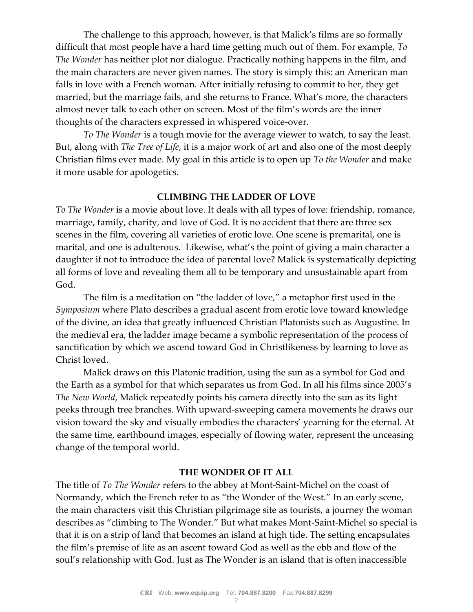The challenge to this approach, however, is that Malick's films are so formally difficult that most people have a hard time getting much out of them. For example, *To The Wonder* has neither plot nor dialogue. Practically nothing happens in the film, and the main characters are never given names. The story is simply this: an American man falls in love with a French woman. After initially refusing to commit to her, they get married, but the marriage fails, and she returns to France. What's more, the characters almost never talk to each other on screen. Most of the film's words are the inner thoughts of the characters expressed in whispered voice-over.

*To The Wonder* is a tough movie for the average viewer to watch, to say the least. But, along with *The Tree of Life*, it is a major work of art and also one of the most deeply Christian films ever made. My goal in this article is to open up *To the Wonder* and make it more usable for apologetics.

### **CLIMBING THE LADDER OF LOVE**

*To The Wonder* is a movie about love. It deals with all types of love: friendship, romance, marriage, family, charity, and love of God. It is no accident that there are three sex scenes in the film, covering all varieties of erotic love. One scene is premarital, one is marital, and one is adulterous.<sup>1</sup> Likewise, what's the point of giving a main character a daughter if not to introduce the idea of parental love? Malick is systematically depicting all forms of love and revealing them all to be temporary and unsustainable apart from God.

The film is a meditation on "the ladder of love," a metaphor first used in the *Symposium* where Plato describes a gradual ascent from erotic love toward knowledge of the divine, an idea that greatly influenced Christian Platonists such as Augustine. In the medieval era, the ladder image became a symbolic representation of the process of sanctification by which we ascend toward God in Christlikeness by learning to love as Christ loved.

Malick draws on this Platonic tradition, using the sun as a symbol for God and the Earth as a symbol for that which separates us from God. In all his films since 2005's *The New World*, Malick repeatedly points his camera directly into the sun as its light peeks through tree branches. With upward-sweeping camera movements he draws our vision toward the sky and visually embodies the characters' yearning for the eternal. At the same time, earthbound images, especially of flowing water, represent the unceasing change of the temporal world.

#### **THE WONDER OF IT ALL**

The title of *To The Wonder* refers to the abbey at Mont-Saint-Michel on the coast of Normandy, which the French refer to as "the Wonder of the West." In an early scene, the main characters visit this Christian pilgrimage site as tourists, a journey the woman describes as "climbing to The Wonder." But what makes Mont-Saint-Michel so special is that it is on a strip of land that becomes an island at high tide. The setting encapsulates the film's premise of life as an ascent toward God as well as the ebb and flow of the soul's relationship with God. Just as The Wonder is an island that is often inaccessible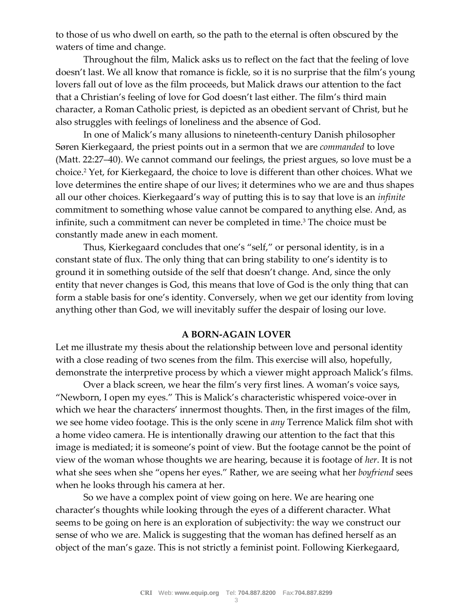to those of us who dwell on earth, so the path to the eternal is often obscured by the waters of time and change.

Throughout the film, Malick asks us to reflect on the fact that the feeling of love doesn't last. We all know that romance is fickle, so it is no surprise that the film's young lovers fall out of love as the film proceeds, but Malick draws our attention to the fact that a Christian's feeling of love for God doesn't last either. The film's third main character, a Roman Catholic priest, is depicted as an obedient servant of Christ, but he also struggles with feelings of loneliness and the absence of God.

In one of Malick's many allusions to nineteenth-century Danish philosopher Søren Kierkegaard, the priest points out in a sermon that we are *commanded* to love (Matt. 22:27–40). We cannot command our feelings, the priest argues, so love must be a choice.<sup>2</sup> Yet, for Kierkegaard, the choice to love is different than other choices. What we love determines the entire shape of our lives; it determines who we are and thus shapes all our other choices. Kierkegaard's way of putting this is to say that love is an *infinite* commitment to something whose value cannot be compared to anything else. And, as infinite, such a commitment can never be completed in time.<sup>3</sup> The choice must be constantly made anew in each moment.

Thus, Kierkegaard concludes that one's "self," or personal identity, is in a constant state of flux. The only thing that can bring stability to one's identity is to ground it in something outside of the self that doesn't change. And, since the only entity that never changes is God, this means that love of God is the only thing that can form a stable basis for one's identity. Conversely, when we get our identity from loving anything other than God, we will inevitably suffer the despair of losing our love.

#### **A BORN-AGAIN LOVER**

Let me illustrate my thesis about the relationship between love and personal identity with a close reading of two scenes from the film. This exercise will also, hopefully, demonstrate the interpretive process by which a viewer might approach Malick's films.

Over a black screen, we hear the film's very first lines. A woman's voice says, "Newborn, I open my eyes." This is Malick's characteristic whispered voice-over in which we hear the characters' innermost thoughts. Then, in the first images of the film, we see home video footage. This is the only scene in *any* Terrence Malick film shot with a home video camera. He is intentionally drawing our attention to the fact that this image is mediated; it is someone's point of view. But the footage cannot be the point of view of the woman whose thoughts we are hearing, because it is footage of *her*. It is not what she sees when she "opens her eyes." Rather, we are seeing what her *boyfriend* sees when he looks through his camera at her.

So we have a complex point of view going on here. We are hearing one character's thoughts while looking through the eyes of a different character. What seems to be going on here is an exploration of subjectivity: the way we construct our sense of who we are. Malick is suggesting that the woman has defined herself as an object of the man's gaze. This is not strictly a feminist point. Following Kierkegaard,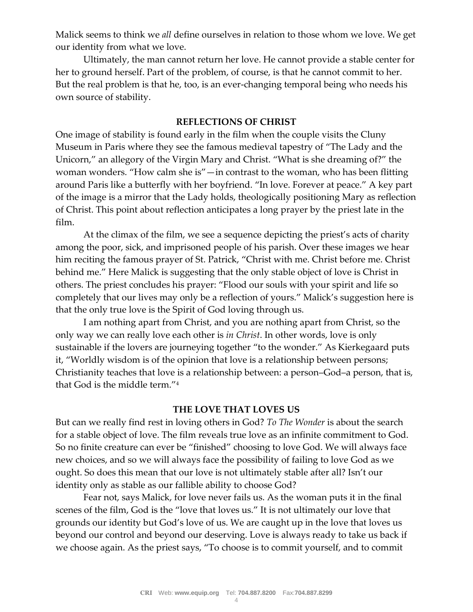Malick seems to think we *all* define ourselves in relation to those whom we love. We get our identity from what we love.

Ultimately, the man cannot return her love. He cannot provide a stable center for her to ground herself. Part of the problem, of course, is that he cannot commit to her. But the real problem is that he, too, is an ever-changing temporal being who needs his own source of stability.

### **REFLECTIONS OF CHRIST**

One image of stability is found early in the film when the couple visits the Cluny Museum in Paris where they see the famous medieval tapestry of "The Lady and the Unicorn," an allegory of the Virgin Mary and Christ. "What is she dreaming of?" the woman wonders. "How calm she is" $-$ in contrast to the woman, who has been flitting around Paris like a butterfly with her boyfriend. "In love. Forever at peace." A key part of the image is a mirror that the Lady holds, theologically positioning Mary as reflection of Christ. This point about reflection anticipates a long prayer by the priest late in the film.

At the climax of the film, we see a sequence depicting the priest's acts of charity among the poor, sick, and imprisoned people of his parish. Over these images we hear him reciting the famous prayer of St. Patrick, "Christ with me. Christ before me. Christ behind me." Here Malick is suggesting that the only stable object of love is Christ in others. The priest concludes his prayer: "Flood our souls with your spirit and life so completely that our lives may only be a reflection of yours." Malick's suggestion here is that the only true love is the Spirit of God loving through us.

I am nothing apart from Christ, and you are nothing apart from Christ, so the only way we can really love each other is *in Christ*. In other words, love is only sustainable if the lovers are journeying together "to the wonder." As Kierkegaard puts it, "Worldly wisdom is of the opinion that love is a relationship between persons; Christianity teaches that love is a relationship between: a person–God–a person, that is, that God is the middle term."<sup>4</sup>

### **THE LOVE THAT LOVES US**

But can we really find rest in loving others in God? *To The Wonder* is about the search for a stable object of love. The film reveals true love as an infinite commitment to God. So no finite creature can ever be "finished" choosing to love God. We will always face new choices, and so we will always face the possibility of failing to love God as we ought. So does this mean that our love is not ultimately stable after all? Isn't our identity only as stable as our fallible ability to choose God?

Fear not, says Malick, for love never fails us. As the woman puts it in the final scenes of the film, God is the "love that loves us." It is not ultimately our love that grounds our identity but God's love of us. We are caught up in the love that loves us beyond our control and beyond our deserving. Love is always ready to take us back if we choose again. As the priest says, "To choose is to commit yourself, and to commit